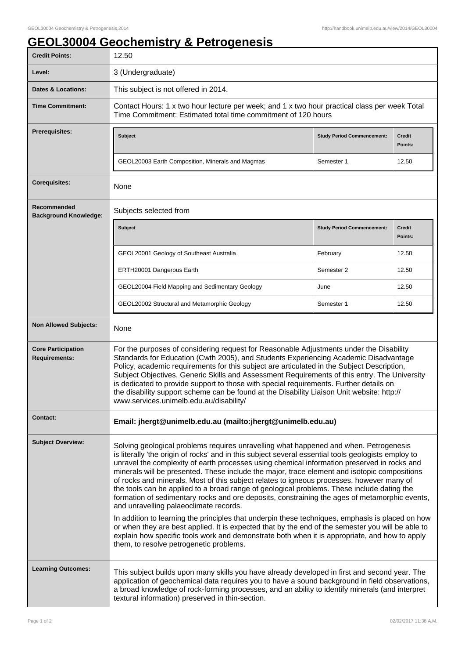## **GEOL30004 Geochemistry & Petrogenesis**

| <b>Credit Points:</b>                             | 12.50                                                                                                                                                                                                                                                                                                                                                                                                                                                                                                                                                                                                                                                                                                                                                                                                                                                                                                                                                                                                                                                                                  |                                   |                   |
|---------------------------------------------------|----------------------------------------------------------------------------------------------------------------------------------------------------------------------------------------------------------------------------------------------------------------------------------------------------------------------------------------------------------------------------------------------------------------------------------------------------------------------------------------------------------------------------------------------------------------------------------------------------------------------------------------------------------------------------------------------------------------------------------------------------------------------------------------------------------------------------------------------------------------------------------------------------------------------------------------------------------------------------------------------------------------------------------------------------------------------------------------|-----------------------------------|-------------------|
| Level:                                            | 3 (Undergraduate)                                                                                                                                                                                                                                                                                                                                                                                                                                                                                                                                                                                                                                                                                                                                                                                                                                                                                                                                                                                                                                                                      |                                   |                   |
| <b>Dates &amp; Locations:</b>                     | This subject is not offered in 2014.                                                                                                                                                                                                                                                                                                                                                                                                                                                                                                                                                                                                                                                                                                                                                                                                                                                                                                                                                                                                                                                   |                                   |                   |
| <b>Time Commitment:</b>                           | Contact Hours: 1 x two hour lecture per week; and 1 x two hour practical class per week Total<br>Time Commitment: Estimated total time commitment of 120 hours                                                                                                                                                                                                                                                                                                                                                                                                                                                                                                                                                                                                                                                                                                                                                                                                                                                                                                                         |                                   |                   |
| <b>Prerequisites:</b>                             | <b>Subject</b>                                                                                                                                                                                                                                                                                                                                                                                                                                                                                                                                                                                                                                                                                                                                                                                                                                                                                                                                                                                                                                                                         | <b>Study Period Commencement:</b> | Credit<br>Points: |
|                                                   | GEOL20003 Earth Composition, Minerals and Magmas                                                                                                                                                                                                                                                                                                                                                                                                                                                                                                                                                                                                                                                                                                                                                                                                                                                                                                                                                                                                                                       | Semester 1                        | 12.50             |
| <b>Corequisites:</b>                              | None                                                                                                                                                                                                                                                                                                                                                                                                                                                                                                                                                                                                                                                                                                                                                                                                                                                                                                                                                                                                                                                                                   |                                   |                   |
| Recommended<br><b>Background Knowledge:</b>       | Subjects selected from                                                                                                                                                                                                                                                                                                                                                                                                                                                                                                                                                                                                                                                                                                                                                                                                                                                                                                                                                                                                                                                                 |                                   |                   |
|                                                   | <b>Subject</b>                                                                                                                                                                                                                                                                                                                                                                                                                                                                                                                                                                                                                                                                                                                                                                                                                                                                                                                                                                                                                                                                         | <b>Study Period Commencement:</b> | Credit<br>Points: |
|                                                   | GEOL20001 Geology of Southeast Australia                                                                                                                                                                                                                                                                                                                                                                                                                                                                                                                                                                                                                                                                                                                                                                                                                                                                                                                                                                                                                                               | February                          | 12.50             |
|                                                   | ERTH20001 Dangerous Earth                                                                                                                                                                                                                                                                                                                                                                                                                                                                                                                                                                                                                                                                                                                                                                                                                                                                                                                                                                                                                                                              | Semester 2                        | 12.50             |
|                                                   | GEOL20004 Field Mapping and Sedimentary Geology                                                                                                                                                                                                                                                                                                                                                                                                                                                                                                                                                                                                                                                                                                                                                                                                                                                                                                                                                                                                                                        | June                              | 12.50             |
|                                                   | GEOL20002 Structural and Metamorphic Geology                                                                                                                                                                                                                                                                                                                                                                                                                                                                                                                                                                                                                                                                                                                                                                                                                                                                                                                                                                                                                                           | Semester 1                        | 12.50             |
| <b>Non Allowed Subjects:</b>                      | None                                                                                                                                                                                                                                                                                                                                                                                                                                                                                                                                                                                                                                                                                                                                                                                                                                                                                                                                                                                                                                                                                   |                                   |                   |
| <b>Core Participation</b><br><b>Requirements:</b> | For the purposes of considering request for Reasonable Adjustments under the Disability<br>Standards for Education (Cwth 2005), and Students Experiencing Academic Disadvantage<br>Policy, academic requirements for this subject are articulated in the Subject Description,<br>Subject Objectives, Generic Skills and Assessment Requirements of this entry. The University<br>is dedicated to provide support to those with special requirements. Further details on<br>the disability support scheme can be found at the Disability Liaison Unit website: http://<br>www.services.unimelb.edu.au/disability/                                                                                                                                                                                                                                                                                                                                                                                                                                                                       |                                   |                   |
| <b>Contact:</b>                                   | Email: jhergt@unimelb.edu.au (mailto:jhergt@unimelb.edu.au)                                                                                                                                                                                                                                                                                                                                                                                                                                                                                                                                                                                                                                                                                                                                                                                                                                                                                                                                                                                                                            |                                   |                   |
| <b>Subject Overview:</b>                          | Solving geological problems requires unravelling what happened and when. Petrogenesis<br>is literally 'the origin of rocks' and in this subject several essential tools geologists employ to<br>unravel the complexity of earth processes using chemical information preserved in rocks and<br>minerals will be presented. These include the major, trace element and isotopic compositions<br>of rocks and minerals. Most of this subject relates to igneous processes, however many of<br>the tools can be applied to a broad range of geological problems. These include dating the<br>formation of sedimentary rocks and ore deposits, constraining the ages of metamorphic events,<br>and unravelling palaeoclimate records.<br>In addition to learning the principles that underpin these techniques, emphasis is placed on how<br>or when they are best applied. It is expected that by the end of the semester you will be able to<br>explain how specific tools work and demonstrate both when it is appropriate, and how to apply<br>them, to resolve petrogenetic problems. |                                   |                   |
| <b>Learning Outcomes:</b>                         | This subject builds upon many skills you have already developed in first and second year. The<br>application of geochemical data requires you to have a sound background in field observations,<br>a broad knowledge of rock-forming processes, and an ability to identify minerals (and interpret<br>textural information) preserved in thin-section.                                                                                                                                                                                                                                                                                                                                                                                                                                                                                                                                                                                                                                                                                                                                 |                                   |                   |